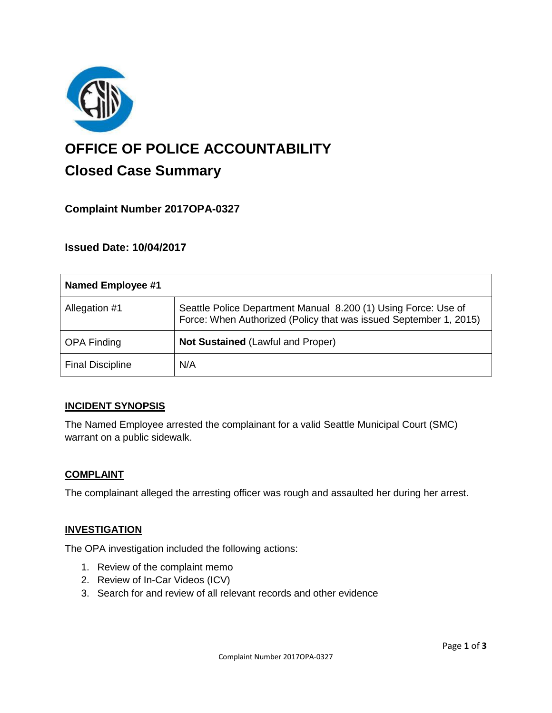

# **OFFICE OF POLICE ACCOUNTABILITY**

# **Closed Case Summary**

# **Complaint Number 2017OPA-0327**

# **Issued Date: 10/04/2017**

| Named Employee #1       |                                                                                                                                     |
|-------------------------|-------------------------------------------------------------------------------------------------------------------------------------|
| Allegation #1           | Seattle Police Department Manual 8.200 (1) Using Force: Use of<br>Force: When Authorized (Policy that was issued September 1, 2015) |
| <b>OPA Finding</b>      | <b>Not Sustained (Lawful and Proper)</b>                                                                                            |
| <b>Final Discipline</b> | N/A                                                                                                                                 |

# **INCIDENT SYNOPSIS**

The Named Employee arrested the complainant for a valid Seattle Municipal Court (SMC) warrant on a public sidewalk.

#### **COMPLAINT**

The complainant alleged the arresting officer was rough and assaulted her during her arrest.

#### **INVESTIGATION**

The OPA investigation included the following actions:

- 1. Review of the complaint memo
- 2. Review of In-Car Videos (ICV)
- 3. Search for and review of all relevant records and other evidence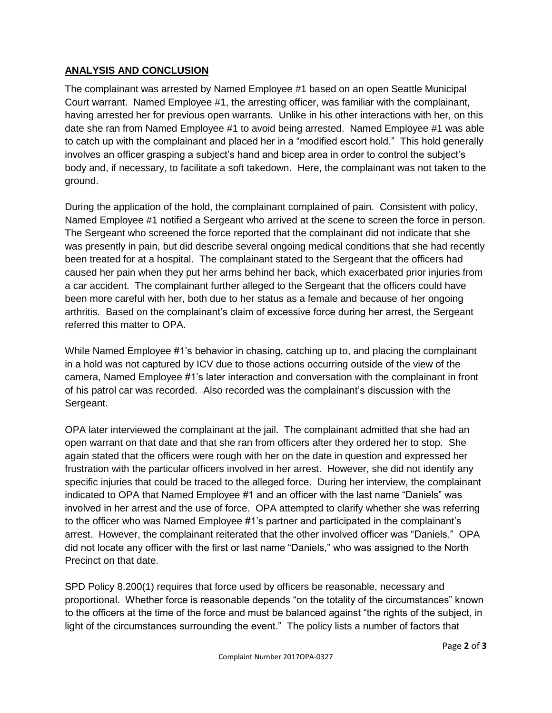# **ANALYSIS AND CONCLUSION**

The complainant was arrested by Named Employee #1 based on an open Seattle Municipal Court warrant. Named Employee #1, the arresting officer, was familiar with the complainant, having arrested her for previous open warrants. Unlike in his other interactions with her, on this date she ran from Named Employee #1 to avoid being arrested. Named Employee #1 was able to catch up with the complainant and placed her in a "modified escort hold." This hold generally involves an officer grasping a subject's hand and bicep area in order to control the subject's body and, if necessary, to facilitate a soft takedown. Here, the complainant was not taken to the ground.

During the application of the hold, the complainant complained of pain. Consistent with policy, Named Employee #1 notified a Sergeant who arrived at the scene to screen the force in person. The Sergeant who screened the force reported that the complainant did not indicate that she was presently in pain, but did describe several ongoing medical conditions that she had recently been treated for at a hospital. The complainant stated to the Sergeant that the officers had caused her pain when they put her arms behind her back, which exacerbated prior injuries from a car accident. The complainant further alleged to the Sergeant that the officers could have been more careful with her, both due to her status as a female and because of her ongoing arthritis. Based on the complainant's claim of excessive force during her arrest, the Sergeant referred this matter to OPA.

While Named Employee #1's behavior in chasing, catching up to, and placing the complainant in a hold was not captured by ICV due to those actions occurring outside of the view of the camera, Named Employee #1's later interaction and conversation with the complainant in front of his patrol car was recorded. Also recorded was the complainant's discussion with the Sergeant.

OPA later interviewed the complainant at the jail. The complainant admitted that she had an open warrant on that date and that she ran from officers after they ordered her to stop. She again stated that the officers were rough with her on the date in question and expressed her frustration with the particular officers involved in her arrest. However, she did not identify any specific injuries that could be traced to the alleged force. During her interview, the complainant indicated to OPA that Named Employee #1 and an officer with the last name "Daniels" was involved in her arrest and the use of force. OPA attempted to clarify whether she was referring to the officer who was Named Employee #1's partner and participated in the complainant's arrest. However, the complainant reiterated that the other involved officer was "Daniels." OPA did not locate any officer with the first or last name "Daniels," who was assigned to the North Precinct on that date.

SPD Policy 8.200(1) requires that force used by officers be reasonable, necessary and proportional. Whether force is reasonable depends "on the totality of the circumstances" known to the officers at the time of the force and must be balanced against "the rights of the subject, in light of the circumstances surrounding the event." The policy lists a number of factors that